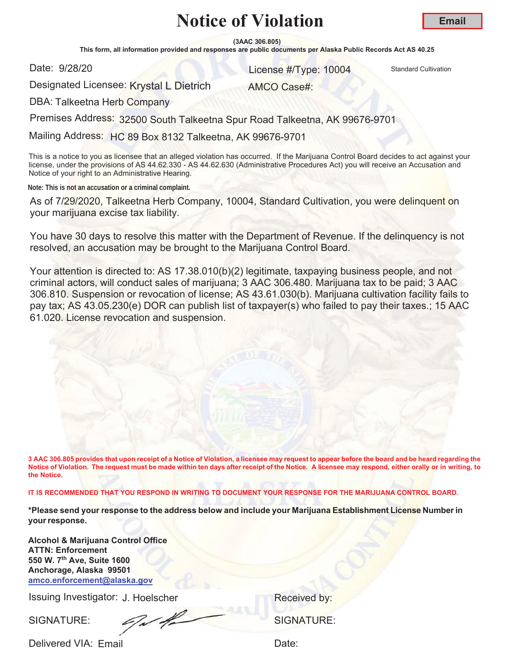**(3AAC 306.805)**

This form, all information provided and responses are public documents per Alaska Public Records Act AS 40.25

Date: 9/28/20

and 28/20 **10004** Standard Cultivation Cultivation Cultivation Cultivation Cultivation

Designated Licensee: Krystal L Dietrich

AMCO Case#:

DBA: Talkeetna Herb Company

Premises Address: 32500 South Talkeetna Spur Road Talkeetna, AK 99676-9701

Mailing Address: HC 89 Box 8132 Talkeetna, AK 99676-9701

This is a notice to you as licensee that an alleged violation has occurred. If the Marijuana Control Board decides to act against your license, under the provisions of AS 44.62.330 - AS 44.62.630 (Administrative Procedures Act) you will receive an Accusation and Notice of your right to an Administrative Hearing.

**Note: This is not an accusation or a criminal complaint.**

As of 7/29/2020, Talkeetna Herb Company, 10004, Standard Cultivation, you were delinquent on your marijuana excise tax liability.

You have 30 days to resolve this matter with the Department of Revenue. If the delinquency is not resolved, an accusation may be brought to the Marijuana Control Board.

Your attention is directed to: AS 17.38.010(b)(2) legitimate, taxpaying business people, and not criminal actors, will conduct sales of marijuana; 3 AAC 306.480. Marijuana tax to be paid; 3 AAC 306.810. Suspension or revocation of license; AS 43.61.030(b). Marijuana cultivation facility fails to pay tax; AS 43.05.230(e) DOR can publish list of taxpayer(s) who failed to pay their taxes.; 15 AAC 61.020. License revocation and suspension.

**3 AAC 306.805 provides that upon receipt of a Notice of Violation, a licensee may request to appear before the board and be heard regarding the Notice of Violation. The request must be made within ten days after receipt of the Notice. A licensee may respond, either orally or in writing, to the Notice.** 

**IT IS RECOMMENDED THAT YOU RESPOND IN WRITING TO DOCUMENT YOUR RESPONSE FOR THE MARIJUANA CONTROL BOARD.**

**\*Please send your response to the address below and include your Marijuana Establishment License Number in your response.**

**Alcohol & Marijuana Control Office ATTN: Enforcement 550 W. 7th Ave, Suite 1600 Anchorage, Alaska 99501 amco.enforcement@alaska.gov**

Issuing Investigator: J. Hoelscher **Election Control Control Control Control Control Control Control Control Control Control Control Control Control Control Control Control Control Control Control Control Control Control C** 

SIGNATURE: SIGNATURE:

Delivered VIA: Email and the control of the Date:

**Email**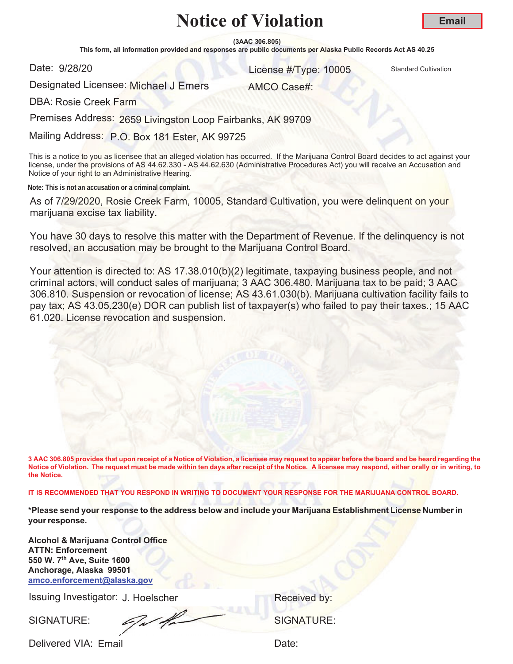**(3AAC 306.805)**

This form, all information provided and responses are public documents per Alaska Public Records Act AS 40.25

Date: 9/28/20

er and the United Standard Cultivation Control of the United Standard Cultivation Cultivation

AMCO Case#:

Designated Licensee: Michael J Emers

DBA: Rosie Creek Farm

Premises Address: 2659 Livingston Loop Fairbanks, AK 99709

Mailing Address: P.O. Box 181 Ester, AK 99725

This is a notice to you as licensee that an alleged violation has occurred. If the Marijuana Control Board decides to act against your license, under the provisions of AS 44.62.330 - AS 44.62.630 (Administrative Procedures Act) you will receive an Accusation and Notice of your right to an Administrative Hearing.

**Note: This is not an accusation or a criminal complaint.**

As of 7/29/2020, Rosie Creek Farm, 10005, Standard Cultivation, you were delinquent on your marijuana excise tax liability.

You have 30 days to resolve this matter with the Department of Revenue. If the delinquency is not resolved, an accusation may be brought to the Marijuana Control Board.

Your attention is directed to: AS 17.38.010(b)(2) legitimate, taxpaying business people, and not criminal actors, will conduct sales of marijuana; 3 AAC 306.480. Marijuana tax to be paid; 3 AAC 306.810. Suspension or revocation of license; AS 43.61.030(b). Marijuana cultivation facility fails to pay tax; AS 43.05.230(e) DOR can publish list of taxpayer(s) who failed to pay their taxes.; 15 AAC 61.020. License revocation and suspension.

**3 AAC 306.805 provides that upon receipt of a Notice of Violation, a licensee may request to appear before the board and be heard regarding the Notice of Violation. The request must be made within ten days after receipt of the Notice. A licensee may respond, either orally or in writing, to the Notice.** 

**IT IS RECOMMENDED THAT YOU RESPOND IN WRITING TO DOCUMENT YOUR RESPONSE FOR THE MARIJUANA CONTROL BOARD.**

**\*Please send your response to the address below and include your Marijuana Establishment License Number in your response.**

**Alcohol & Marijuana Control Office ATTN: Enforcement 550 W. 7th Ave, Suite 1600 Anchorage, Alaska 99501 amco.enforcement@alaska.gov**

Issuing Investigator: J. Hoelscher **Election Control Control Control Control Control Control Control Control Control Control Control Control Control Control Control Control Control Control Control Control Control Control C** 

SIGNATURE: SIGNATURE: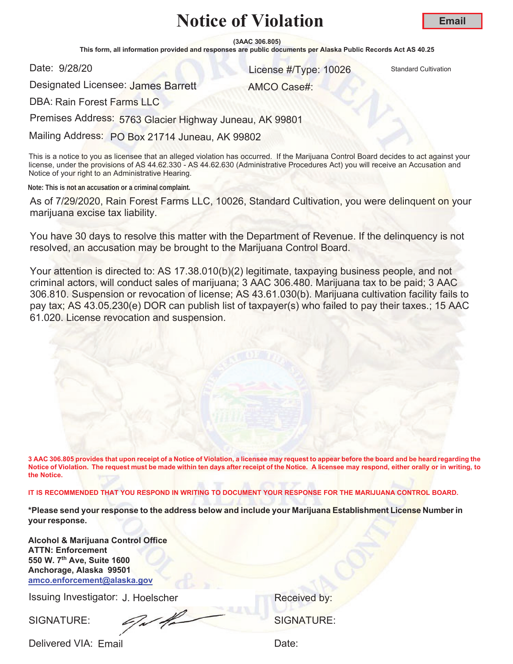**(3AAC 306.805)**

This form, all information provided and responses are public documents per Alaska Public Records Act AS 40.25

Date: 9/28/20

er and the United Standard Cultivation Control of the United Standard Cultivation Cultivation

AMCO Case#:

**Email**

Designated Licensee: James Barrett

DBA: Rain Forest Farms LLC

Premises Address: 5763 Glacier Highway Juneau, AK 99801

Mailing Address: PO Box 21714 Juneau, AK 99802

This is a notice to you as licensee that an alleged violation has occurred. If the Marijuana Control Board decides to act against your license, under the provisions of AS 44.62.330 - AS 44.62.630 (Administrative Procedures Act) you will receive an Accusation and Notice of your right to an Administrative Hearing.

**Note: This is not an accusation or a criminal complaint.**

As of 7/29/2020, Rain Forest Farms LLC, 10026, Standard Cultivation, you were delinquent on your marijuana excise tax liability.

You have 30 days to resolve this matter with the Department of Revenue. If the delinquency is not resolved, an accusation may be brought to the Marijuana Control Board.

Your attention is directed to: AS 17.38.010(b)(2) legitimate, taxpaying business people, and not criminal actors, will conduct sales of marijuana; 3 AAC 306.480. Marijuana tax to be paid; 3 AAC 306.810. Suspension or revocation of license; AS 43.61.030(b). Marijuana cultivation facility fails to pay tax; AS 43.05.230(e) DOR can publish list of taxpayer(s) who failed to pay their taxes.; 15 AAC 61.020. License revocation and suspension.

**3 AAC 306.805 provides that upon receipt of a Notice of Violation, a licensee may request to appear before the board and be heard regarding the Notice of Violation. The request must be made within ten days after receipt of the Notice. A licensee may respond, either orally or in writing, to the Notice.** 

**IT IS RECOMMENDED THAT YOU RESPOND IN WRITING TO DOCUMENT YOUR RESPONSE FOR THE MARIJUANA CONTROL BOARD.**

**\*Please send your response to the address below and include your Marijuana Establishment License Number in your response.**

**Alcohol & Marijuana Control Office ATTN: Enforcement 550 W. 7th Ave, Suite 1600 Anchorage, Alaska 99501 amco.enforcement@alaska.gov**

Issuing Investigator: J. Hoelscher **Election Control Control Control Control Control Control Control Control Control Control Control Control Control Control Control Control Control Control Control Control Control Control C** 

SIGNATURE: SIGNATURE: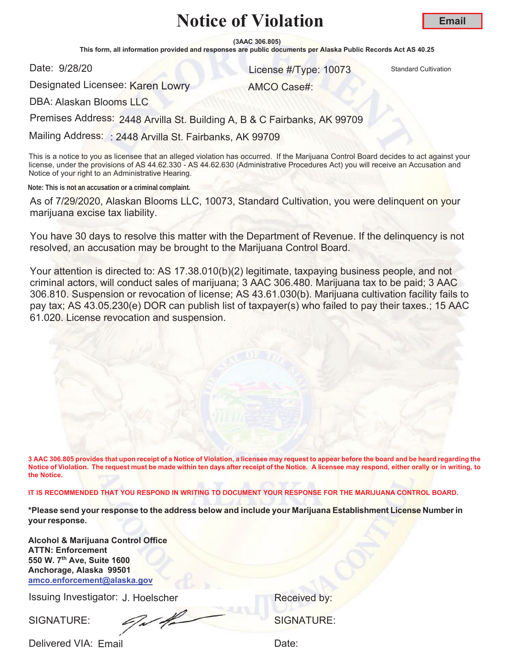**(3AAC 306.805)**

This form, all information provided and responses are public documents per Alaska Public Records Act AS 40.25

Date: 9/28/20

er and the United Standard Cultivation Control of the United Standard Cultivation Cultivation

AMCO Case#:

Designated Licensee: <mark>Karen Lowr</mark>y

DBA: Alaskan Blooms LLC

Premises Address: 2448 Arvilla St. Building A, B & C Fairbanks, AK 99709

Mailing Address: : 2448 Arvilla St. Fairbanks, AK 99709

This is a notice to you as licensee that an alleged violation has occurred. If the Marijuana Control Board decides to act against your license, under the provisions of AS 44.62.330 - AS 44.62.630 (Administrative Procedures Act) you will receive an Accusation and Notice of your right to an Administrative Hearing.

**Note: This is not an accusation or a criminal complaint.**

As of 7/29/2020, Alaskan Blooms LLC, 10073, Standard Cultivation, you were delinquent on your marijuana excise tax liability.

You have 30 days to resolve this matter with the Department of Revenue. If the delinquency is not resolved, an accusation may be brought to the Marijuana Control Board.

Your attention is directed to: AS 17.38.010(b)(2) legitimate, taxpaying business people, and not criminal actors, will conduct sales of marijuana; 3 AAC 306.480. Marijuana tax to be paid; 3 AAC 306.810. Suspension or revocation of license; AS 43.61.030(b). Marijuana cultivation facility fails to pay tax; AS 43.05.230(e) DOR can publish list of taxpayer(s) who failed to pay their taxes.; 15 AAC 61.020. License revocation and suspension.

**3 AAC 306.805 provides that upon receipt of a Notice of Violation, a licensee may request to appear before the board and be heard regarding the Notice of Violation. The request must be made within ten days after receipt of the Notice. A licensee may respond, either orally or in writing, to the Notice.** 

**IT IS RECOMMENDED THAT YOU RESPOND IN WRITING TO DOCUMENT YOUR RESPONSE FOR THE MARIJUANA CONTROL BOARD.**

**\*Please send your response to the address below and include your Marijuana Establishment License Number in your response.**

**Alcohol & Marijuana Control Office ATTN: Enforcement 550 W. 7th Ave, Suite 1600 Anchorage, Alaska 99501 amco.enforcement@alaska.gov**

Issuing Investigator: J. Hoelscher **Election Control Control Control Control Control Control Control Control Control Control Control Control Control Control Control Control Control Control Control Control Control Control C** 

SIGNATURE: SIGNATURE: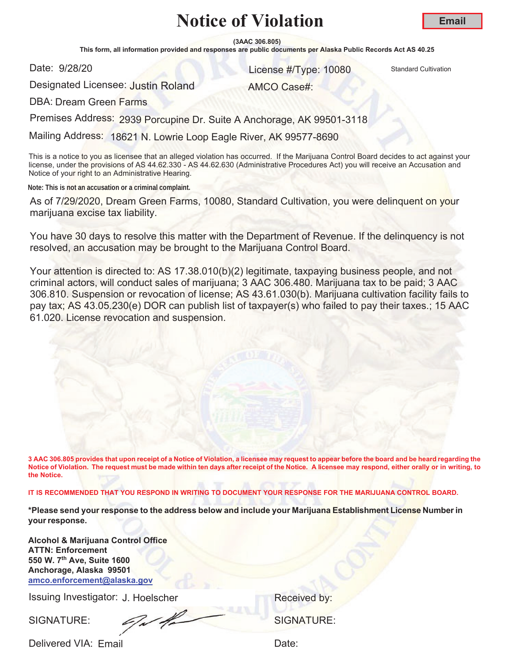**(3AAC 306.805)**

This form, all information provided and responses are public documents per Alaska Public Records Act AS 40.25

Date: 9/28/20

er and the United Standard Cultivation Control of the United Standard Cultivation Cultivation

Designated Licensee: <mark>Justin Roland</mark>

AMCO Case#:

DBA: Dream Green Farms

Premises Address: 2939 Porcupine Dr. Suite A Anchorage, AK 99501-3118

Mailing Address: 18621 N. Lowrie Loop Eagle River, AK 99577-8690

This is a notice to you as licensee that an alleged violation has occurred. If the Marijuana Control Board decides to act against your license, under the provisions of AS 44.62.330 - AS 44.62.630 (Administrative Procedures Act) you will receive an Accusation and Notice of your right to an Administrative Hearing.

**Note: This is not an accusation or a criminal complaint.**

As of 7/29/2020, Dream Green Farms, 10080, Standard Cultivation, you were delinquent on your marijuana excise tax liability.

You have 30 days to resolve this matter with the Department of Revenue. If the delinquency is not resolved, an accusation may be brought to the Marijuana Control Board.

Your attention is directed to: AS 17.38.010(b)(2) legitimate, taxpaying business people, and not criminal actors, will conduct sales of marijuana; 3 AAC 306.480. Marijuana tax to be paid; 3 AAC 306.810. Suspension or revocation of license; AS 43.61.030(b). Marijuana cultivation facility fails to pay tax; AS 43.05.230(e) DOR can publish list of taxpayer(s) who failed to pay their taxes.; 15 AAC 61.020. License revocation and suspension.

**3 AAC 306.805 provides that upon receipt of a Notice of Violation, a licensee may request to appear before the board and be heard regarding the Notice of Violation. The request must be made within ten days after receipt of the Notice. A licensee may respond, either orally or in writing, to the Notice.** 

**IT IS RECOMMENDED THAT YOU RESPOND IN WRITING TO DOCUMENT YOUR RESPONSE FOR THE MARIJUANA CONTROL BOARD.**

**\*Please send your response to the address below and include your Marijuana Establishment License Number in your response.**

**Alcohol & Marijuana Control Office ATTN: Enforcement 550 W. 7th Ave, Suite 1600 Anchorage, Alaska 99501 amco.enforcement@alaska.gov**

Issuing Investigator: J. Hoelscher **Election Control Control Control Control Control Control Control Control Control Control Control Control Control Control Control Control Control Control Control Control Control Control C** 

SIGNATURE: SIGNATURE: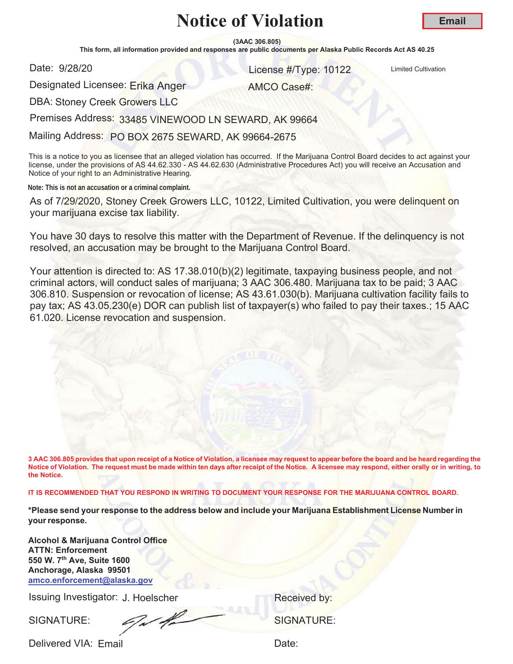**(3AAC 306.805)**

This form, all information provided and responses are public documents per Alaska Public Records Act AS 40.25

Date: 9/28/20

er and the United Cultivation Control of the United Cultivation Control of the United Cultivation

AMCO Case#:

Designated Licensee: Erika Anger

DBA: Stoney Creek Growers LLC

Premises Address: 33485 VINEWOOD LN SEWARD, AK 99664

Mailing Address: PO BOX 2675 SEWARD, AK 99664-2675

This is a notice to you as licensee that an alleged violation has occurred. If the Marijuana Control Board decides to act against your license, under the provisions of AS 44.62.330 - AS 44.62.630 (Administrative Procedures Act) you will receive an Accusation and Notice of your right to an Administrative Hearing.

**Note: This is not an accusation or a criminal complaint.**

As of 7/29/2020, Stoney Creek Growers LLC, 10122, Limited Cultivation, you were delinquent on your marijuana excise tax liability.

You have 30 days to resolve this matter with the Department of Revenue. If the delinquency is not resolved, an accusation may be brought to the Marijuana Control Board.

Your attention is directed to: AS 17.38.010(b)(2) legitimate, taxpaying business people, and not criminal actors, will conduct sales of marijuana; 3 AAC 306.480. Marijuana tax to be paid; 3 AAC 306.810. Suspension or revocation of license; AS 43.61.030(b). Marijuana cultivation facility fails to pay tax; AS 43.05.230(e) DOR can publish list of taxpayer(s) who failed to pay their taxes.; 15 AAC 61.020. License revocation and suspension.

**3 AAC 306.805 provides that upon receipt of a Notice of Violation, a licensee may request to appear before the board and be heard regarding the Notice of Violation. The request must be made within ten days after receipt of the Notice. A licensee may respond, either orally or in writing, to the Notice.** 

**IT IS RECOMMENDED THAT YOU RESPOND IN WRITING TO DOCUMENT YOUR RESPONSE FOR THE MARIJUANA CONTROL BOARD.**

**\*Please send your response to the address below and include your Marijuana Establishment License Number in your response.**

**Alcohol & Marijuana Control Office ATTN: Enforcement 550 W. 7th Ave, Suite 1600 Anchorage, Alaska 99501 amco.enforcement@alaska.gov**

Issuing Investigator: J. Hoelscher **Election Control Control Control Control Control Control Control Control Control Control Control Control Control Control Control Control Control Control Control Control Control Control C** 

SIGNATURE: SIGNATURE: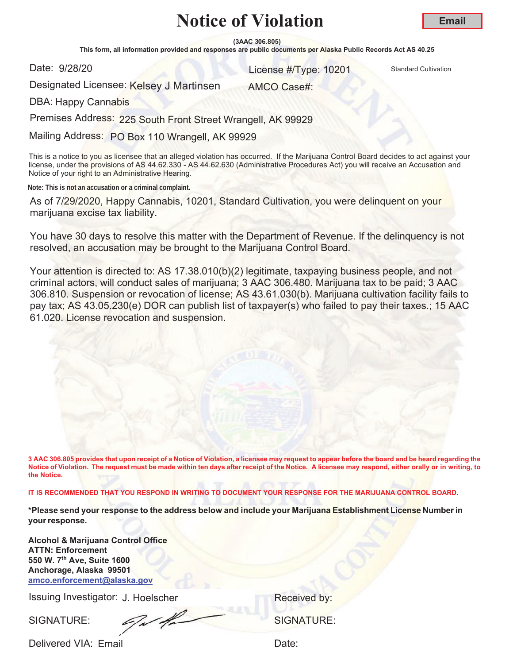**(3AAC 306.805)**

This form, all information provided and responses are public documents per Alaska Public Records Act AS 40.25

Date: 9/28/20

er and the United Standard Cultivation Control of the United Standard Cultivation Cultivation

Designated Licensee: Kelsey J Martinsen AMCO Case#:

DBA: Happy Cannabis

Premises Address: 225 South Front Street Wrangell, AK 99929

Mailing Address: PO Box 110 Wrangell, AK 99929

This is a notice to you as licensee that an alleged violation has occurred. If the Marijuana Control Board decides to act against your license, under the provisions of AS 44.62.330 - AS 44.62.630 (Administrative Procedures Act) you will receive an Accusation and Notice of your right to an Administrative Hearing.

**Note: This is not an accusation or a criminal complaint.**

As of 7/29/2020, Happy Cannabis, 10201, Standard Cultivation, you were delinquent on your marijuana excise tax liability.

You have 30 days to resolve this matter with the Department of Revenue. If the delinquency is not resolved, an accusation may be brought to the Marijuana Control Board.

Your attention is directed to: AS 17.38.010(b)(2) legitimate, taxpaying business people, and not criminal actors, will conduct sales of marijuana; 3 AAC 306.480. Marijuana tax to be paid; 3 AAC 306.810. Suspension or revocation of license; AS 43.61.030(b). Marijuana cultivation facility fails to pay tax; AS 43.05.230(e) DOR can publish list of taxpayer(s) who failed to pay their taxes.; 15 AAC 61.020. License revocation and suspension.

**3 AAC 306.805 provides that upon receipt of a Notice of Violation, a licensee may request to appear before the board and be heard regarding the Notice of Violation. The request must be made within ten days after receipt of the Notice. A licensee may respond, either orally or in writing, to the Notice.** 

**IT IS RECOMMENDED THAT YOU RESPOND IN WRITING TO DOCUMENT YOUR RESPONSE FOR THE MARIJUANA CONTROL BOARD.**

**\*Please send your response to the address below and include your Marijuana Establishment License Number in your response.**

**Alcohol & Marijuana Control Office ATTN: Enforcement 550 W. 7th Ave, Suite 1600 Anchorage, Alaska 99501 amco.enforcement@alaska.gov**

Issuing Investigator: J. Hoelscher **Election Control Control Control Control Control Control Control Control Control Control Control Control Control Control Control Control Control Control Control Control Control Control C** 

SIGNATURE: SIGNATURE: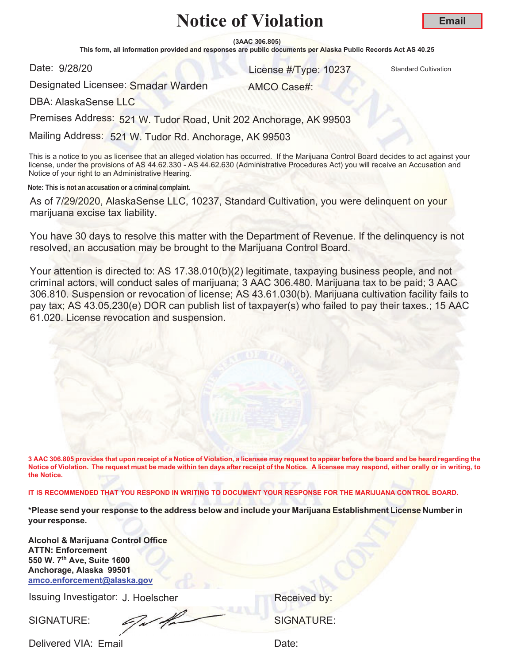**(3AAC 306.805)**

This form, all information provided and responses are public documents per Alaska Public Records Act AS 40.25

Date: 9/28/20

er and the United Standard Cultivation Control of the United Standard Cultivation Cultivation

AMCO Case#:

Designated Licensee: Smadar Warden

DBA: AlaskaSense LLC

Premises Address: 521 W. Tudor Road, Unit 202 Anchorage, AK 99503

Mailing Address: 521 W. Tudor Rd. Anchorage, AK 99503

This is a notice to you as licensee that an alleged violation has occurred. If the Marijuana Control Board decides to act against your license, under the provisions of AS 44.62.330 - AS 44.62.630 (Administrative Procedures Act) you will receive an Accusation and Notice of your right to an Administrative Hearing.

**Note: This is not an accusation or a criminal complaint.**

As of 7/29/2020, AlaskaSense LLC, 10237, Standard Cultivation, you were delinquent on your marijuana excise tax liability.

You have 30 days to resolve this matter with the Department of Revenue. If the delinquency is not resolved, an accusation may be brought to the Marijuana Control Board.

Your attention is directed to: AS 17.38.010(b)(2) legitimate, taxpaying business people, and not criminal actors, will conduct sales of marijuana; 3 AAC 306.480. Marijuana tax to be paid; 3 AAC 306.810. Suspension or revocation of license; AS 43.61.030(b). Marijuana cultivation facility fails to pay tax; AS 43.05.230(e) DOR can publish list of taxpayer(s) who failed to pay their taxes.; 15 AAC 61.020. License revocation and suspension.

**3 AAC 306.805 provides that upon receipt of a Notice of Violation, a licensee may request to appear before the board and be heard regarding the Notice of Violation. The request must be made within ten days after receipt of the Notice. A licensee may respond, either orally or in writing, to the Notice.** 

**IT IS RECOMMENDED THAT YOU RESPOND IN WRITING TO DOCUMENT YOUR RESPONSE FOR THE MARIJUANA CONTROL BOARD.**

**\*Please send your response to the address below and include your Marijuana Establishment License Number in your response.**

**Alcohol & Marijuana Control Office ATTN: Enforcement 550 W. 7th Ave, Suite 1600 Anchorage, Alaska 99501 amco.enforcement@alaska.gov**

Issuing Investigator: J. Hoelscher **Election Control Control Control Control Control Control Control Control Control Control Control Control Control Control Control Control Control Control Control Control Control Control C** 

SIGNATURE: SIGNATURE: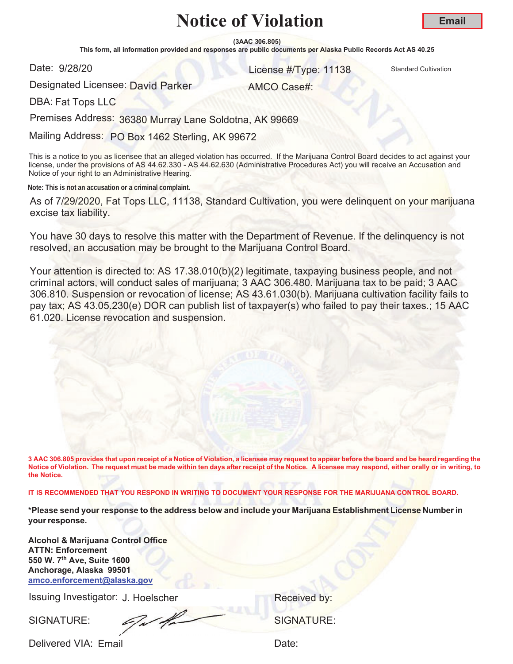**(3AAC 306.805)**

This form, all information provided and responses are public documents per Alaska Public Records Act AS 40.25

Date: 9/28/20

er and the United Standard Cultivation Control of the United Standard Cultivation Cultivation

AMCO Case#:

Designated Licensee: <mark>David Parker</mark>

DBA: Fat Tops LLC

Premises Address: 36380 Murray Lane Soldotna, AK 99669

Mailing Address: PO Box 1462 Sterling, AK 99672

This is a notice to you as licensee that an alleged violation has occurred. If the Marijuana Control Board decides to act against your license, under the provisions of AS 44.62.330 - AS 44.62.630 (Administrative Procedures Act) you will receive an Accusation and Notice of your right to an Administrative Hearing.

**Note: This is not an accusation or a criminal complaint.**

As of 7/29/2020, Fat Tops LLC, 11138, Standard Cultivation, you were delinquent on your marijuana excise tax liability.

You have 30 days to resolve this matter with the Department of Revenue. If the delinquency is not resolved, an accusation may be brought to the Marijuana Control Board.

Your attention is directed to: AS 17.38.010(b)(2) legitimate, taxpaying business people, and not criminal actors, will conduct sales of marijuana; 3 AAC 306.480. Marijuana tax to be paid; 3 AAC 306.810. Suspension or revocation of license; AS 43.61.030(b). Marijuana cultivation facility fails to pay tax; AS 43.05.230(e) DOR can publish list of taxpayer(s) who failed to pay their taxes.; 15 AAC 61.020. License revocation and suspension.

**3 AAC 306.805 provides that upon receipt of a Notice of Violation, a licensee may request to appear before the board and be heard regarding the Notice of Violation. The request must be made within ten days after receipt of the Notice. A licensee may respond, either orally or in writing, to the Notice.** 

**IT IS RECOMMENDED THAT YOU RESPOND IN WRITING TO DOCUMENT YOUR RESPONSE FOR THE MARIJUANA CONTROL BOARD.**

**\*Please send your response to the address below and include your Marijuana Establishment License Number in your response.**

**Alcohol & Marijuana Control Office ATTN: Enforcement 550 W. 7th Ave, Suite 1600 Anchorage, Alaska 99501 amco.enforcement@alaska.gov**

Issuing Investigator: J. Hoelscher **Election Control Control Control Control Control Control Control Control Control Control Control Control Control Control Control Control Control Control Control Control Control Control C** 

SIGNATURE: SIGNATURE: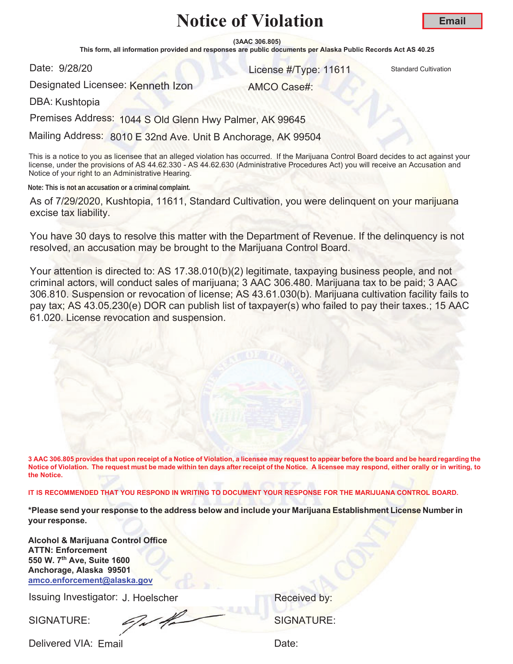**(3AAC 306.805)**

This form, all information provided and responses are public documents per Alaska Public Records Act AS 40.25

Date: 9/28/20

and 28/20 **128/20** 128/20 **128/20** 128/20 **128/20** 128/20 **128/20** 128/20 128/20 128/20 128/20 128/20 129

Designated Licensee: Kenneth Izon

AMCO Case#:

DBA: Kushtopia

Premises Address: 1044 S Old Glenn Hwy Palmer, AK 99645

Mailing Address: 8010 E 32nd Ave. Unit B Anchorage, AK 99504

This is a notice to you as licensee that an alleged violation has occurred. If the Marijuana Control Board decides to act against your license, under the provisions of AS 44.62.330 - AS 44.62.630 (Administrative Procedures Act) you will receive an Accusation and Notice of your right to an Administrative Hearing.

**Note: This is not an accusation or a criminal complaint.**

As of 7/29/2020, Kushtopia, 11611, Standard Cultivation, you were delinquent on your marijuana excise tax liability.

You have 30 days to resolve this matter with the Department of Revenue. If the delinquency is not resolved, an accusation may be brought to the Marijuana Control Board.

Your attention is directed to: AS 17.38.010(b)(2) legitimate, taxpaying business people, and not criminal actors, will conduct sales of marijuana; 3 AAC 306.480. Marijuana tax to be paid; 3 AAC 306.810. Suspension or revocation of license; AS 43.61.030(b). Marijuana cultivation facility fails to pay tax; AS 43.05.230(e) DOR can publish list of taxpayer(s) who failed to pay their taxes.; 15 AAC 61.020. License revocation and suspension.

**3 AAC 306.805 provides that upon receipt of a Notice of Violation, a licensee may request to appear before the board and be heard regarding the Notice of Violation. The request must be made within ten days after receipt of the Notice. A licensee may respond, either orally or in writing, to the Notice.** 

**IT IS RECOMMENDED THAT YOU RESPOND IN WRITING TO DOCUMENT YOUR RESPONSE FOR THE MARIJUANA CONTROL BOARD.**

**\*Please send your response to the address below and include your Marijuana Establishment License Number in your response.**

**Alcohol & Marijuana Control Office ATTN: Enforcement 550 W. 7th Ave, Suite 1600 Anchorage, Alaska 99501 amco.enforcement@alaska.gov**

Issuing Investigator: J. Hoelscher **Election Control Control Control Control Control Control Control Control Control Control Control Control Control Control Control Control Control Control Control Control Control Control C** 

SIGNATURE: SIGNATURE: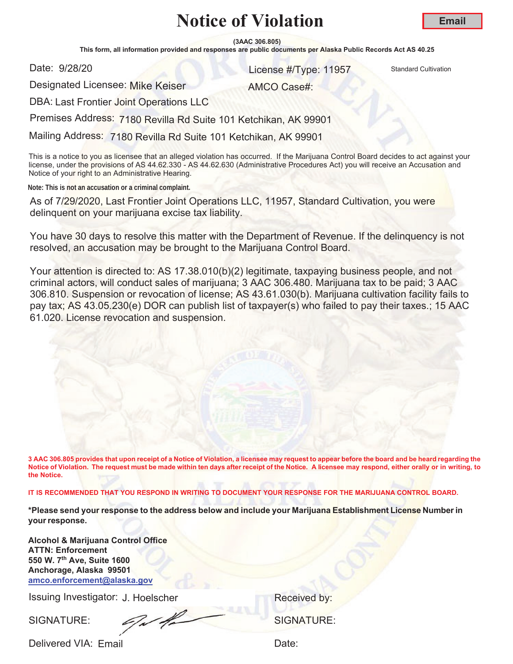**(3AAC 306.805)**

This form, all information provided and responses are public documents per Alaska Public Records Act AS 40.25

Date: 9/28/20

er and the United Standard Cultivation Control of the United Standard Cultivation Cultivation

Designated Licensee: Mike Keiser

AMCO Case#:

DBA: Last Frontier Joint Operations LLC

Premises Address: 7180 Revilla Rd Suite 101 Ketchikan, AK 99901

Mailing Address: 7180 Revilla Rd Suite 101 Ketchikan, AK 99901

This is a notice to you as licensee that an alleged violation has occurred. If the Marijuana Control Board decides to act against your license, under the provisions of AS 44.62.330 - AS 44.62.630 (Administrative Procedures Act) you will receive an Accusation and Notice of your right to an Administrative Hearing.

**Note: This is not an accusation or a criminal complaint.**

As of 7/29/2020, Last Frontier Joint Operations LLC, 11957, Standard Cultivation, you were delinquent on your marijuana excise tax liability.

You have 30 days to resolve this matter with the Department of Revenue. If the delinquency is not resolved, an accusation may be brought to the Marijuana Control Board.

Your attention is directed to: AS 17.38.010(b)(2) legitimate, taxpaying business people, and not criminal actors, will conduct sales of marijuana; 3 AAC 306.480. Marijuana tax to be paid; 3 AAC 306.810. Suspension or revocation of license; AS 43.61.030(b). Marijuana cultivation facility fails to pay tax; AS 43.05.230(e) DOR can publish list of taxpayer(s) who failed to pay their taxes.; 15 AAC 61.020. License revocation and suspension.

**3 AAC 306.805 provides that upon receipt of a Notice of Violation, a licensee may request to appear before the board and be heard regarding the Notice of Violation. The request must be made within ten days after receipt of the Notice. A licensee may respond, either orally or in writing, to the Notice.** 

**IT IS RECOMMENDED THAT YOU RESPOND IN WRITING TO DOCUMENT YOUR RESPONSE FOR THE MARIJUANA CONTROL BOARD.**

**\*Please send your response to the address below and include your Marijuana Establishment License Number in your response.**

**Alcohol & Marijuana Control Office ATTN: Enforcement 550 W. 7th Ave, Suite 1600 Anchorage, Alaska 99501 amco.enforcement@alaska.gov**

Issuing Investigator: J. Hoelscher **Election Control Control Control Control Control Control Control Control Control Control Control Control Control Control Control Control Control Control Control Control Control Control C** 

SIGNATURE: SIGNATURE: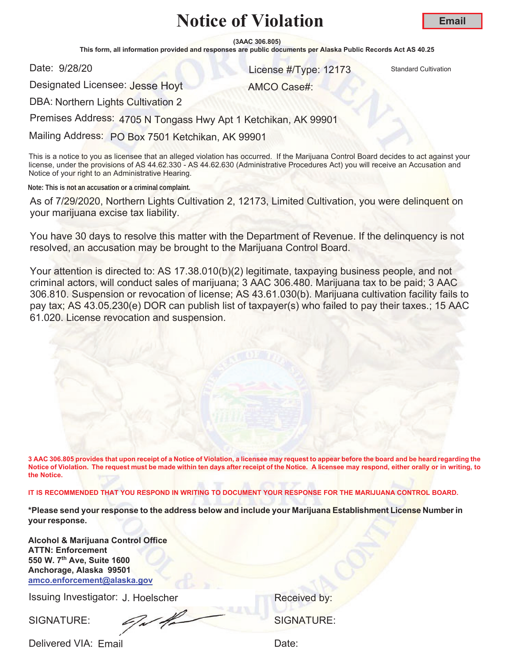**(3AAC 306.805)**

This form, all information provided and responses are public documents per Alaska Public Records Act AS 40.25

Date: 9/28/20

and 28/20 **128/20** 12173 Standard Cultivation

AMCO Case#:

Designated Licensee: Jesse Hoyt

DBA: Northern Lights Cultivation 2

Premises Address: 4705 N Tongass Hwy Apt 1 Ketchikan, AK 99901

Mailing Address: PO Box 7501 Ketchikan, AK 99901

This is a notice to you as licensee that an alleged violation has occurred. If the Marijuana Control Board decides to act against your license, under the provisions of AS 44.62.330 - AS 44.62.630 (Administrative Procedures Act) you will receive an Accusation and Notice of your right to an Administrative Hearing.

**Note: This is not an accusation or a criminal complaint.**

As of 7/29/2020, Northern Lights Cultivation 2, 12173, Limited Cultivation, you were delinquent on your marijuana excise tax liability.

You have 30 days to resolve this matter with the Department of Revenue. If the delinquency is not resolved, an accusation may be brought to the Marijuana Control Board.

Your attention is directed to: AS 17.38.010(b)(2) legitimate, taxpaying business people, and not criminal actors, will conduct sales of marijuana; 3 AAC 306.480. Marijuana tax to be paid; 3 AAC 306.810. Suspension or revocation of license; AS 43.61.030(b). Marijuana cultivation facility fails to pay tax; AS 43.05.230(e) DOR can publish list of taxpayer(s) who failed to pay their taxes.; 15 AAC 61.020. License revocation and suspension.

**3 AAC 306.805 provides that upon receipt of a Notice of Violation, a licensee may request to appear before the board and be heard regarding the Notice of Violation. The request must be made within ten days after receipt of the Notice. A licensee may respond, either orally or in writing, to the Notice.** 

**IT IS RECOMMENDED THAT YOU RESPOND IN WRITING TO DOCUMENT YOUR RESPONSE FOR THE MARIJUANA CONTROL BOARD.**

**\*Please send your response to the address below and include your Marijuana Establishment License Number in your response.**

**Alcohol & Marijuana Control Office ATTN: Enforcement 550 W. 7th Ave, Suite 1600 Anchorage, Alaska 99501 amco.enforcement@alaska.gov**

Issuing Investigator: J. Hoelscher **Election Control Control Control Control Control Control Control Control Control Control Control Control Control Control Control Control Control Control Control Control Control Control C** 

SIGNATURE: SIGNATURE: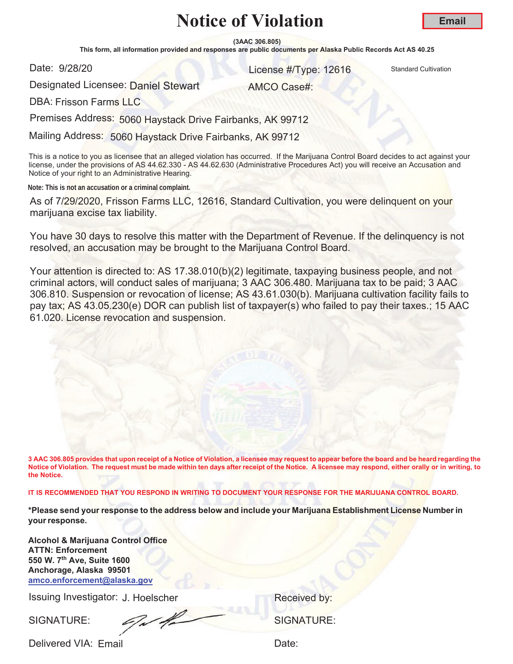**(3AAC 306.805)**

This form, all information provided and responses are public documents per Alaska Public Records Act AS 40.25

Date: 9/28/20

er and the United Standard Cultivation Control of the United Standard Cultivation Cultivation

AMCO Case#:

Designated Licensee: <mark>Daniel Stewart</mark>

DBA: Frisson Farms LLC

Premises Address: 5060 Haystack Drive Fairbanks, AK 99712

Mailing Address: 5060 Haystack Drive Fairbanks, AK 99712

This is a notice to you as licensee that an alleged violation has occurred. If the Marijuana Control Board decides to act against your license, under the provisions of AS 44.62.330 - AS 44.62.630 (Administrative Procedures Act) you will receive an Accusation and Notice of your right to an Administrative Hearing.

**Note: This is not an accusation or a criminal complaint.**

As of 7/29/2020, Frisson Farms LLC, 12616, Standard Cultivation, you were delinquent on your marijuana excise tax liability.

You have 30 days to resolve this matter with the Department of Revenue. If the delinquency is not resolved, an accusation may be brought to the Marijuana Control Board.

Your attention is directed to: AS 17.38.010(b)(2) legitimate, taxpaying business people, and not criminal actors, will conduct sales of marijuana; 3 AAC 306.480. Marijuana tax to be paid; 3 AAC 306.810. Suspension or revocation of license; AS 43.61.030(b). Marijuana cultivation facility fails to pay tax; AS 43.05.230(e) DOR can publish list of taxpayer(s) who failed to pay their taxes.; 15 AAC 61.020. License revocation and suspension.

**3 AAC 306.805 provides that upon receipt of a Notice of Violation, a licensee may request to appear before the board and be heard regarding the Notice of Violation. The request must be made within ten days after receipt of the Notice. A licensee may respond, either orally or in writing, to the Notice.** 

**IT IS RECOMMENDED THAT YOU RESPOND IN WRITING TO DOCUMENT YOUR RESPONSE FOR THE MARIJUANA CONTROL BOARD.**

**\*Please send your response to the address below and include your Marijuana Establishment License Number in your response.**

**Alcohol & Marijuana Control Office ATTN: Enforcement 550 W. 7th Ave, Suite 1600 Anchorage, Alaska 99501 amco.enforcement@alaska.gov**

Issuing Investigator: J. Hoelscher **Election Control Control Control Control Control Control Control Control Control Control Control Control Control Control Control Control Control Control Control Control Control Control C** 

SIGNATURE: SIGNATURE: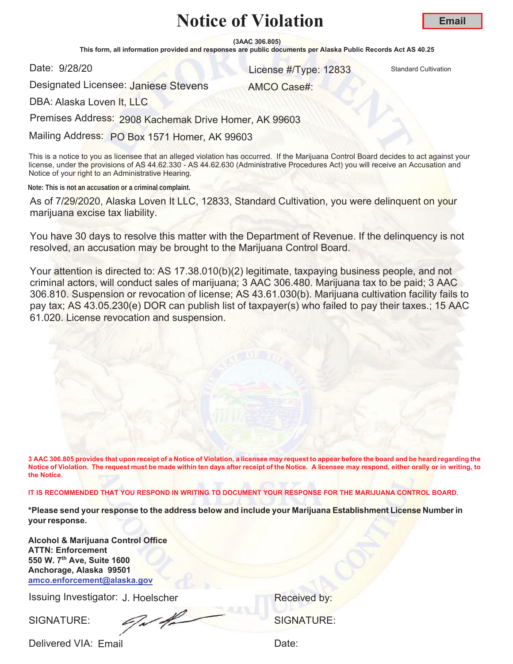**(3AAC 306.805)**

This form, all information provided and responses are public documents per Alaska Public Records Act AS 40.25

Date: 9/28/20

and 28/20 **128/20 License #Type: 12833** Standard Cultivation

AMCO Case#:

**Email**

Designated Licensee: Janiese Stevens

DBA: Alaska Loven It, LLC

Premises Address: 2908 Kachemak Drive Homer, AK 99603

Mailing Address: PO Box 1571 Homer, AK 99603

This is a notice to you as licensee that an alleged violation has occurred. If the Marijuana Control Board decides to act against your license, under the provisions of AS 44.62.330 - AS 44.62.630 (Administrative Procedures Act) you will receive an Accusation and Notice of your right to an Administrative Hearing.

**Note: This is not an accusation or a criminal complaint.**

As of 7/29/2020, Alaska Loven It LLC, 12833, Standard Cultivation, you were delinquent on your marijuana excise tax liability.

You have 30 days to resolve this matter with the Department of Revenue. If the delinquency is not resolved, an accusation may be brought to the Marijuana Control Board.

Your attention is directed to: AS 17.38.010(b)(2) legitimate, taxpaying business people, and not criminal actors, will conduct sales of marijuana; 3 AAC 306.480. Marijuana tax to be paid; 3 AAC 306.810. Suspension or revocation of license; AS 43.61.030(b). Marijuana cultivation facility fails to pay tax; AS 43.05.230(e) DOR can publish list of taxpayer(s) who failed to pay their taxes.; 15 AAC 61.020. License revocation and suspension.

**3 AAC 306.805 provides that upon receipt of a Notice of Violation, a licensee may request to appear before the board and be heard regarding the Notice of Violation. The request must be made within ten days after receipt of the Notice. A licensee may respond, either orally or in writing, to the Notice.** 

**IT IS RECOMMENDED THAT YOU RESPOND IN WRITING TO DOCUMENT YOUR RESPONSE FOR THE MARIJUANA CONTROL BOARD.**

**\*Please send your response to the address below and include your Marijuana Establishment License Number in your response.**

**Alcohol & Marijuana Control Office ATTN: Enforcement 550 W. 7th Ave, Suite 1600 Anchorage, Alaska 99501 amco.enforcement@alaska.gov**

Issuing Investigator: J. Hoelscher **Election Control Control Control Control Control Control Control Control Control Control Control Control Control Control Control Control Control Control Control Control Control Control C** 

SIGNATURE: SIGNATURE: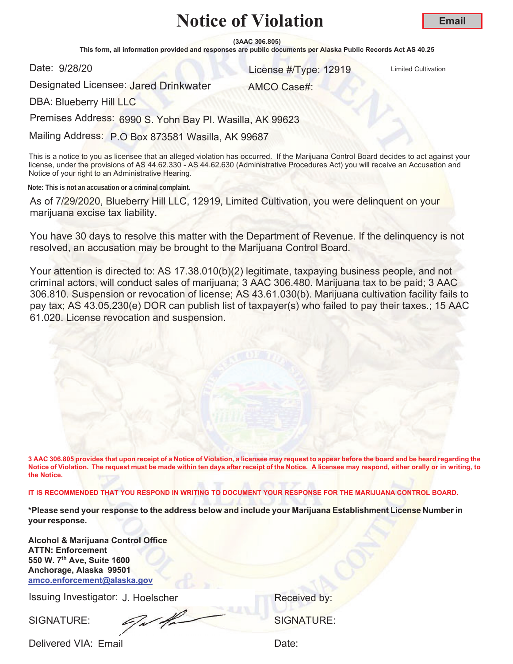**(3AAC 306.805)**

This form, all information provided and responses are public documents per Alaska Public Records Act AS 40.25

Date: 9/28/20

er and the United Cultivation Control of the United Cultivation Control of the United Cultivation

Designated Licensee: <mark>Jared Drinkwater</mark>

AMCO Case#:

DBA: Blueberry Hill LLC

Premises Address: 6990 S. Yohn Bay Pl. Wasilla, AK 99623

Mailing Address: P.O Box 873581 Wasilla, AK 99687

This is a notice to you as licensee that an alleged violation has occurred. If the Marijuana Control Board decides to act against your license, under the provisions of AS 44.62.330 - AS 44.62.630 (Administrative Procedures Act) you will receive an Accusation and Notice of your right to an Administrative Hearing.

**Note: This is not an accusation or a criminal complaint.**

As of 7/29/2020, Blueberry Hill LLC, 12919, Limited Cultivation, you were delinquent on your marijuana excise tax liability.

You have 30 days to resolve this matter with the Department of Revenue. If the delinquency is not resolved, an accusation may be brought to the Marijuana Control Board.

Your attention is directed to: AS 17.38.010(b)(2) legitimate, taxpaying business people, and not criminal actors, will conduct sales of marijuana; 3 AAC 306.480. Marijuana tax to be paid; 3 AAC 306.810. Suspension or revocation of license; AS 43.61.030(b). Marijuana cultivation facility fails to pay tax; AS 43.05.230(e) DOR can publish list of taxpayer(s) who failed to pay their taxes.; 15 AAC 61.020. License revocation and suspension.

**3 AAC 306.805 provides that upon receipt of a Notice of Violation, a licensee may request to appear before the board and be heard regarding the Notice of Violation. The request must be made within ten days after receipt of the Notice. A licensee may respond, either orally or in writing, to the Notice.** 

**IT IS RECOMMENDED THAT YOU RESPOND IN WRITING TO DOCUMENT YOUR RESPONSE FOR THE MARIJUANA CONTROL BOARD.**

**\*Please send your response to the address below and include your Marijuana Establishment License Number in your response.**

**Alcohol & Marijuana Control Office ATTN: Enforcement 550 W. 7th Ave, Suite 1600 Anchorage, Alaska 99501 amco.enforcement@alaska.gov**

Issuing Investigator: J. Hoelscher **Election Control Control Control Control Control Control Control Control Control Control Control Control Control Control Control Control Control Control Control Control Control Control C** 

SIGNATURE: SIGNATURE: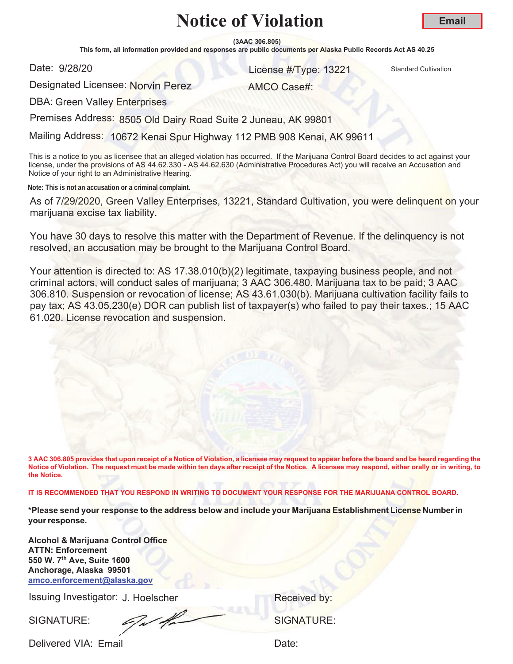**(3AAC 306.805)**

This form, all information provided and responses are public documents per Alaska Public Records Act AS 40.25

Date: 9/28/20

and 28/20 **13221** Standard Cultivation

Designated Licensee: Norvin Perez

AMCO Case#:

DBA: Green Valley Enterprises

Premises Address: 8505 Old Dairy Road Suite 2 Juneau, AK 99801

Mailing Address: 10672 Kenai Spur Highway 112 PMB 908 Kenai, AK 99611

This is a notice to you as licensee that an alleged violation has occurred. If the Marijuana Control Board decides to act against your license, under the provisions of AS 44.62.330 - AS 44.62.630 (Administrative Procedures Act) you will receive an Accusation and Notice of your right to an Administrative Hearing.

**Note: This is not an accusation or a criminal complaint.**

As of 7/29/2020, Green Valley Enterprises, 13221, Standard Cultivation, you were delinquent on your marijuana excise tax liability.

You have 30 days to resolve this matter with the Department of Revenue. If the delinquency is not resolved, an accusation may be brought to the Marijuana Control Board.

Your attention is directed to: AS 17.38.010(b)(2) legitimate, taxpaying business people, and not criminal actors, will conduct sales of marijuana; 3 AAC 306.480. Marijuana tax to be paid; 3 AAC 306.810. Suspension or revocation of license; AS 43.61.030(b). Marijuana cultivation facility fails to pay tax; AS 43.05.230(e) DOR can publish list of taxpayer(s) who failed to pay their taxes.; 15 AAC 61.020. License revocation and suspension.

**3 AAC 306.805 provides that upon receipt of a Notice of Violation, a licensee may request to appear before the board and be heard regarding the Notice of Violation. The request must be made within ten days after receipt of the Notice. A licensee may respond, either orally or in writing, to the Notice.** 

**IT IS RECOMMENDED THAT YOU RESPOND IN WRITING TO DOCUMENT YOUR RESPONSE FOR THE MARIJUANA CONTROL BOARD.**

**\*Please send your response to the address below and include your Marijuana Establishment License Number in your response.**

**Alcohol & Marijuana Control Office ATTN: Enforcement 550 W. 7th Ave, Suite 1600 Anchorage, Alaska 99501 amco.enforcement@alaska.gov**

Issuing Investigator: J. Hoelscher **Election Control Control Control Control Control Control Control Control Control Control Control Control Control Control Control Control Control Control Control Control Control Control C** 

SIGNATURE: SIGNATURE: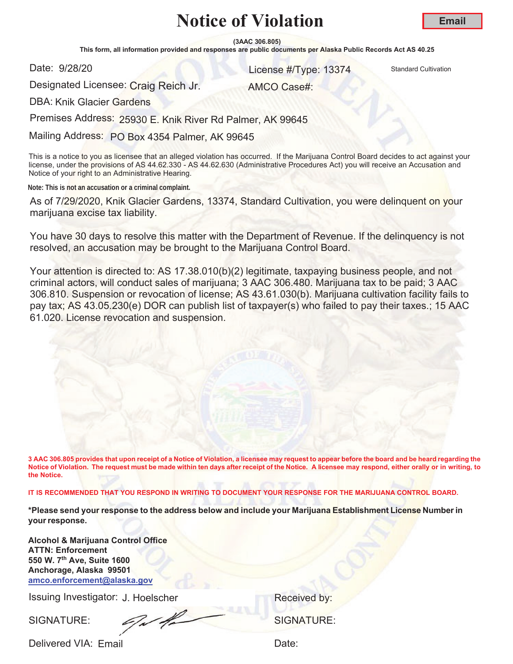**(3AAC 306.805)**

This form, all information provided and responses are public documents per Alaska Public Records Act AS 40.25

Date: 9/28/20

and 28/20 **13374** Standard Cultivation Cultivation

AMCO Case#:

**Email**

Designated Licensee: Craig Reich Jr.

DBA: Knik Glacier Gardens

Premises Address: 25930 E. Knik River Rd Palmer, AK 99645

Mailing Address: PO Box 4354 Palmer, AK 99645

This is a notice to you as licensee that an alleged violation has occurred. If the Marijuana Control Board decides to act against your license, under the provisions of AS 44.62.330 - AS 44.62.630 (Administrative Procedures Act) you will receive an Accusation and Notice of your right to an Administrative Hearing.

**Note: This is not an accusation or a criminal complaint.**

As of 7/29/2020, Knik Glacier Gardens, 13374, Standard Cultivation, you were delinquent on your marijuana excise tax liability.

You have 30 days to resolve this matter with the Department of Revenue. If the delinquency is not resolved, an accusation may be brought to the Marijuana Control Board.

Your attention is directed to: AS 17.38.010(b)(2) legitimate, taxpaying business people, and not criminal actors, will conduct sales of marijuana; 3 AAC 306.480. Marijuana tax to be paid; 3 AAC 306.810. Suspension or revocation of license; AS 43.61.030(b). Marijuana cultivation facility fails to pay tax; AS 43.05.230(e) DOR can publish list of taxpayer(s) who failed to pay their taxes.; 15 AAC 61.020. License revocation and suspension.

**3 AAC 306.805 provides that upon receipt of a Notice of Violation, a licensee may request to appear before the board and be heard regarding the Notice of Violation. The request must be made within ten days after receipt of the Notice. A licensee may respond, either orally or in writing, to the Notice.** 

**IT IS RECOMMENDED THAT YOU RESPOND IN WRITING TO DOCUMENT YOUR RESPONSE FOR THE MARIJUANA CONTROL BOARD.**

**\*Please send your response to the address below and include your Marijuana Establishment License Number in your response.**

**Alcohol & Marijuana Control Office ATTN: Enforcement 550 W. 7th Ave, Suite 1600 Anchorage, Alaska 99501 amco.enforcement@alaska.gov**

Issuing Investigator: J. Hoelscher **Election Control Control Control Control Control Control Control Control Control Control Control Control Control Control Control Control Control Control Control Control Control Control C** 

SIGNATURE: SIGNATURE: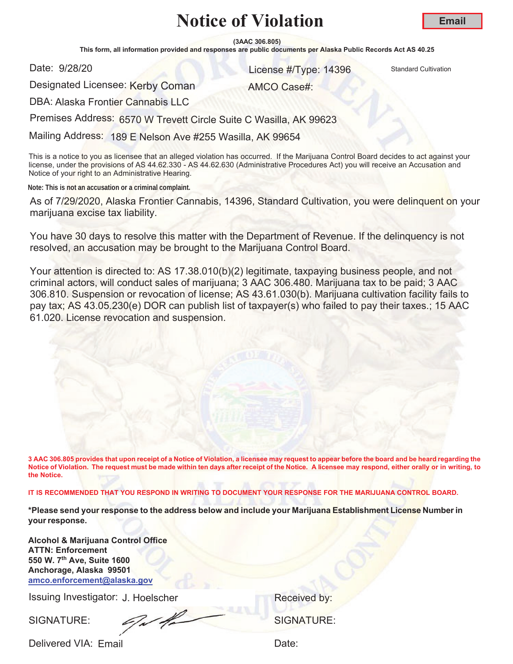**(3AAC 306.805)**

This form, all information provided and responses are public documents per Alaska Public Records Act AS 40.25

Date: 9/28/20

er and the United Standard Cultivation Control of the United Standard Cultivation Cultivation

Designated Licensee: <mark>Kerby Coman</mark>

AMCO Case#:

DBA: Alaska Frontier Cannabis LLC

Premises Address: 6570 W Trevett Circle Suite C Wasilla, AK 99623

Mailing Address: 189 E Nelson Ave #255 Wasilla, AK 99654

This is a notice to you as licensee that an alleged violation has occurred. If the Marijuana Control Board decides to act against your license, under the provisions of AS 44.62.330 - AS 44.62.630 (Administrative Procedures Act) you will receive an Accusation and Notice of your right to an Administrative Hearing.

**Note: This is not an accusation or a criminal complaint.**

As of 7/29/2020, Alaska Frontier Cannabis, 14396, Standard Cultivation, you were delinquent on your marijuana excise tax liability.

You have 30 days to resolve this matter with the Department of Revenue. If the delinquency is not resolved, an accusation may be brought to the Marijuana Control Board.

Your attention is directed to: AS 17.38.010(b)(2) legitimate, taxpaying business people, and not criminal actors, will conduct sales of marijuana; 3 AAC 306.480. Marijuana tax to be paid; 3 AAC 306.810. Suspension or revocation of license; AS 43.61.030(b). Marijuana cultivation facility fails to pay tax; AS 43.05.230(e) DOR can publish list of taxpayer(s) who failed to pay their taxes.; 15 AAC 61.020. License revocation and suspension.

**3 AAC 306.805 provides that upon receipt of a Notice of Violation, a licensee may request to appear before the board and be heard regarding the Notice of Violation. The request must be made within ten days after receipt of the Notice. A licensee may respond, either orally or in writing, to the Notice.** 

**IT IS RECOMMENDED THAT YOU RESPOND IN WRITING TO DOCUMENT YOUR RESPONSE FOR THE MARIJUANA CONTROL BOARD.**

**\*Please send your response to the address below and include your Marijuana Establishment License Number in your response.**

**Alcohol & Marijuana Control Office ATTN: Enforcement 550 W. 7th Ave, Suite 1600 Anchorage, Alaska 99501 amco.enforcement@alaska.gov**

Issuing Investigator: J. Hoelscher **Election Control Control Control Control Control Control Control Control Control Control Control Control Control Control Control Control Control Control Control Control Control Control C** 

SIGNATURE: SIGNATURE:

Delivered VIA: Email and the control of the Date:

**Email**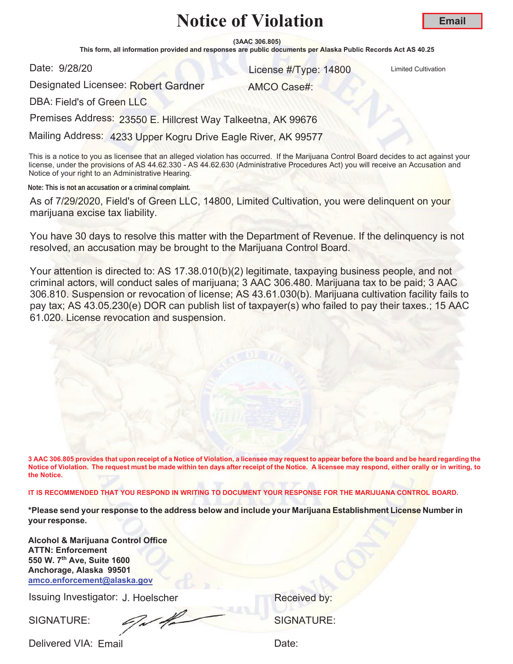**(3AAC 306.805)**

This form, all information provided and responses are public documents per Alaska Public Records Act AS 40.25

Date: 9/28/20

er and the United Cultivation Control of the United Cultivation Control of the United Cultivation

Designated Licensee: <mark>Robert Gardner</mark>

AMCO Case#:

DBA: Field's of Green LLC

Premises Address: 23550 E. Hillcrest Way Talkeetna, AK 99676

Mailing Address: 4233 Upper Kogru Drive Eagle River, AK 99577

This is a notice to you as licensee that an alleged violation has occurred. If the Marijuana Control Board decides to act against your license, under the provisions of AS 44.62.330 - AS 44.62.630 (Administrative Procedures Act) you will receive an Accusation and Notice of your right to an Administrative Hearing.

**Note: This is not an accusation or a criminal complaint.**

As of 7/29/2020, Field's of Green LLC, 14800, Limited Cultivation, you were delinquent on your marijuana excise tax liability.

You have 30 days to resolve this matter with the Department of Revenue. If the delinquency is not resolved, an accusation may be brought to the Marijuana Control Board.

Your attention is directed to: AS 17.38.010(b)(2) legitimate, taxpaying business people, and not criminal actors, will conduct sales of marijuana; 3 AAC 306.480. Marijuana tax to be paid; 3 AAC 306.810. Suspension or revocation of license; AS 43.61.030(b). Marijuana cultivation facility fails to pay tax; AS 43.05.230(e) DOR can publish list of taxpayer(s) who failed to pay their taxes.; 15 AAC 61.020. License revocation and suspension.

**3 AAC 306.805 provides that upon receipt of a Notice of Violation, a licensee may request to appear before the board and be heard regarding the Notice of Violation. The request must be made within ten days after receipt of the Notice. A licensee may respond, either orally or in writing, to the Notice.** 

**IT IS RECOMMENDED THAT YOU RESPOND IN WRITING TO DOCUMENT YOUR RESPONSE FOR THE MARIJUANA CONTROL BOARD.**

**\*Please send your response to the address below and include your Marijuana Establishment License Number in your response.**

**Alcohol & Marijuana Control Office ATTN: Enforcement 550 W. 7th Ave, Suite 1600 Anchorage, Alaska 99501 amco.enforcement@alaska.gov**

Issuing Investigator: J. Hoelscher **Election Control Control Control Control Control Control Control Control Control Control Control Control Control Control Control Control Control Control Control Control Control Control C** 

SIGNATURE: SIGNATURE:

Delivered VIA: Email and the control of the Date:

**Email**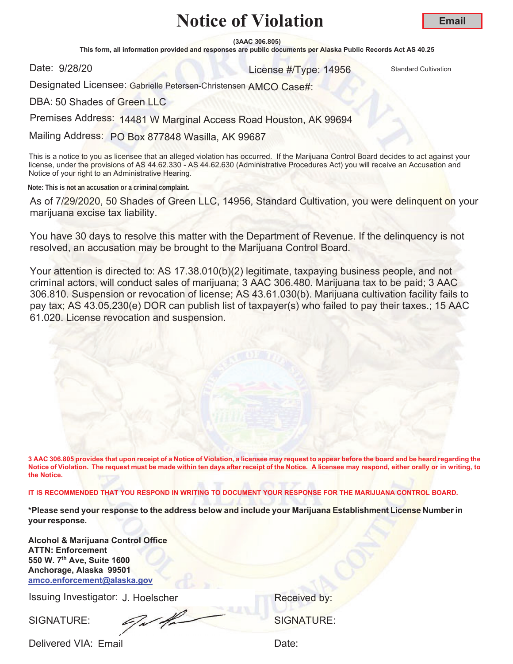**(3AAC 306.805)**

This form, all information provided and responses are public documents per Alaska Public Records Act AS 40.25

Date: 9/28/20

er and the United Standard Cultivation Control of the United Standard Cultivation Cultivation

Designated Licensee: Gabrielle Petersen-Christensen AMCO Case#:

DBA: 50 Shades of Green LLC

Premises Address: 14481 W Marginal Access Road Houston, AK 99694

Mailing Address: PO Box 877848 Wasilla, AK 99687

This is a notice to you as licensee that an alleged violation has occurred. If the Marijuana Control Board decides to act against your license, under the provisions of AS 44.62.330 - AS 44.62.630 (Administrative Procedures Act) you will receive an Accusation and Notice of your right to an Administrative Hearing.

**Note: This is not an accusation or a criminal complaint.**

As of 7/29/2020, 50 Shades of Green LLC, 14956, Standard Cultivation, you were delinquent on your marijuana excise tax liability.

You have 30 days to resolve this matter with the Department of Revenue. If the delinquency is not resolved, an accusation may be brought to the Marijuana Control Board.

Your attention is directed to: AS 17.38.010(b)(2) legitimate, taxpaying business people, and not criminal actors, will conduct sales of marijuana; 3 AAC 306.480. Marijuana tax to be paid; 3 AAC 306.810. Suspension or revocation of license; AS 43.61.030(b). Marijuana cultivation facility fails to pay tax; AS 43.05.230(e) DOR can publish list of taxpayer(s) who failed to pay their taxes.; 15 AAC 61.020. License revocation and suspension.

**3 AAC 306.805 provides that upon receipt of a Notice of Violation, a licensee may request to appear before the board and be heard regarding the Notice of Violation. The request must be made within ten days after receipt of the Notice. A licensee may respond, either orally or in writing, to the Notice.** 

**IT IS RECOMMENDED THAT YOU RESPOND IN WRITING TO DOCUMENT YOUR RESPONSE FOR THE MARIJUANA CONTROL BOARD.**

**\*Please send your response to the address below and include your Marijuana Establishment License Number in yourresponse.**

**Alcohol & Marijuana Control Office ATTN: Enforcement 550 W. 7th Ave, Suite 1600 Anchorage, Alaska 99501 amco.enforcement@alaska.gov**

Issuing Investigator: J. Hoelscher **Election Control Control Control Control Control Control Control Control Control Control Control Control Control Control Control Control Control Control Control Control Control Control C** 

SIGNATURE: SIGNATURE: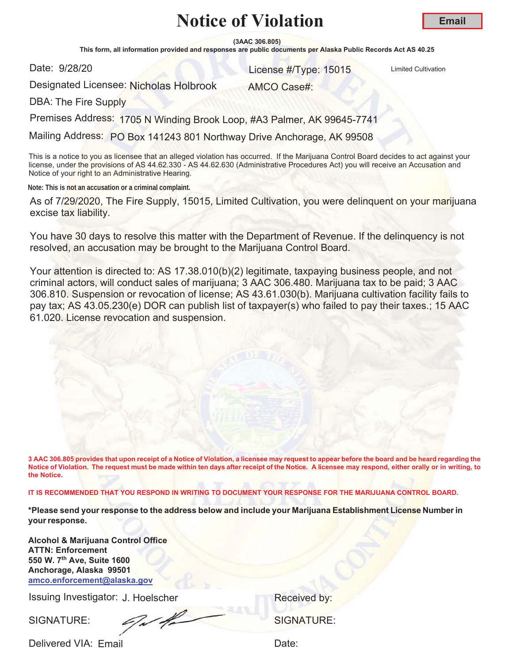**(3AAC 306.805)**

This form, all information provided and responses are public documents per Alaska Public Records Act AS 40.25

Date: 9/28/20

and the United Cultivation Control of the United Cultivation Control of the United Cultivation Control of the U

Designated Licensee: Nicholas Holbrook

AMCO Case#:

DBA: The Fire Supply

Premises Address: 1705 N Winding Brook Loop, #A3 Palmer, AK 99645-7741

Mailing Address: PO Box 141243 801 Northway Drive Anchorage, AK 99508

This is a notice to you as licensee that an alleged violation has occurred. If the Marijuana Control Board decides to act against your license, under the provisions of AS 44.62.330 - AS 44.62.630 (Administrative Procedures Act) you will receive an Accusation and Notice of your right to an Administrative Hearing.

**Note: This is not an accusation or a criminal complaint.**

As of 7/29/2020, The Fire Supply, 15015, Limited Cultivation, you were delinquent on your marijuana excise tax liability.

You have 30 days to resolve this matter with the Department of Revenue. If the delinquency is not resolved, an accusation may be brought to the Marijuana Control Board.

Your attention is directed to: AS 17.38.010(b)(2) legitimate, taxpaying business people, and not criminal actors, will conduct sales of marijuana; 3 AAC 306.480. Marijuana tax to be paid; 3 AAC 306.810. Suspension or revocation of license; AS 43.61.030(b). Marijuana cultivation facility fails to pay tax; AS 43.05.230(e) DOR can publish list of taxpayer(s) who failed to pay their taxes.; 15 AAC 61.020. License revocation and suspension.

**3 AAC 306.805 provides that upon receipt of a Notice of Violation, a licensee may request to appear before the board and be heard regarding the Notice of Violation. The request must be made within ten days after receipt of the Notice. A licensee may respond, either orally or in writing, to the Notice.** 

**IT IS RECOMMENDED THAT YOU RESPOND IN WRITING TO DOCUMENT YOUR RESPONSE FOR THE MARIJUANA CONTROL BOARD.**

**\*Please send your response to the address below and include your Marijuana Establishment License Number in your response.**

**Alcohol & Marijuana Control Office ATTN: Enforcement 550 W. 7th Ave, Suite 1600 Anchorage, Alaska 99501 amco.enforcement@alaska.gov**

Issuing Investigator: J. Hoelscher **Election Control Control Control Control Control Control Control Control Control Control Control Control Control Control Control Control Control Control Control Control Control Control C** 

SIGNATURE: SIGNATURE: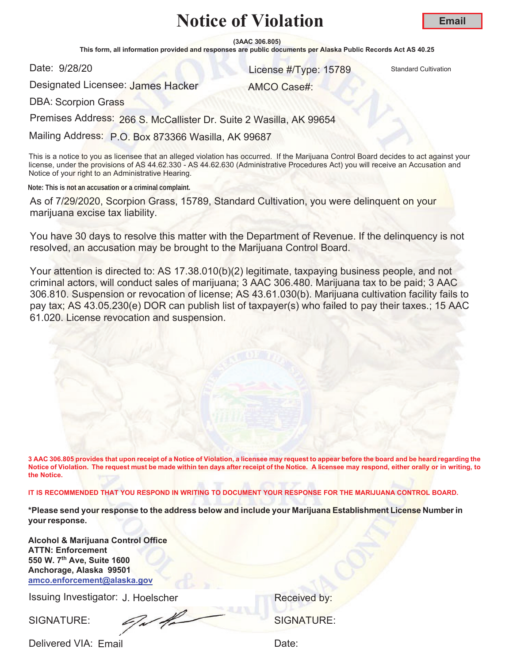**(3AAC 306.805)**

This form, all information provided and responses are public documents per Alaska Public Records Act AS 40.25

Date: 9/28/20

er and the United States of the United States of the United States of the United Standard Cultivation

AMCO Case#:

**Email**

Designated Licensee: <mark>James Hacker</mark>

DBA: Scorpion Grass

Premises Address: 266 S. McCallister Dr. Suite 2 Wasilla, AK 99654

Mailing Address: P.O. Box 873366 Wasilla, AK 99687

This is a notice to you as licensee that an alleged violation has occurred. If the Marijuana Control Board decides to act against your license, under the provisions of AS 44.62.330 - AS 44.62.630 (Administrative Procedures Act) you will receive an Accusation and Notice of your right to an Administrative Hearing.

**Note: This is not an accusation or a criminal complaint.**

As of 7/29/2020, Scorpion Grass, 15789, Standard Cultivation, you were delinquent on your marijuana excise tax liability.

You have 30 days to resolve this matter with the Department of Revenue. If the delinquency is not resolved, an accusation may be brought to the Marijuana Control Board.

Your attention is directed to: AS 17.38.010(b)(2) legitimate, taxpaying business people, and not criminal actors, will conduct sales of marijuana; 3 AAC 306.480. Marijuana tax to be paid; 3 AAC 306.810. Suspension or revocation of license; AS 43.61.030(b). Marijuana cultivation facility fails to pay tax; AS 43.05.230(e) DOR can publish list of taxpayer(s) who failed to pay their taxes.; 15 AAC 61.020. License revocation and suspension.

**3 AAC 306.805 provides that upon receipt of a Notice of Violation, a licensee may request to appear before the board and be heard regarding the Notice of Violation. The request must be made within ten days after receipt of the Notice. A licensee may respond, either orally or in writing, to the Notice.** 

**IT IS RECOMMENDED THAT YOU RESPOND IN WRITING TO DOCUMENT YOUR RESPONSE FOR THE MARIJUANA CONTROL BOARD.**

**\*Please send your response to the address below and include your Marijuana Establishment License Number in your response.**

**Alcohol & Marijuana Control Office ATTN: Enforcement 550 W. 7th Ave, Suite 1600 Anchorage, Alaska 99501 amco.enforcement@alaska.gov**

Issuing Investigator: J. Hoelscher **Election Control Control Control Control Control Control Control Control Control Control Control Control Control Control Control Control Control Control Control Control Control Control C** 

SIGNATURE: SIGNATURE: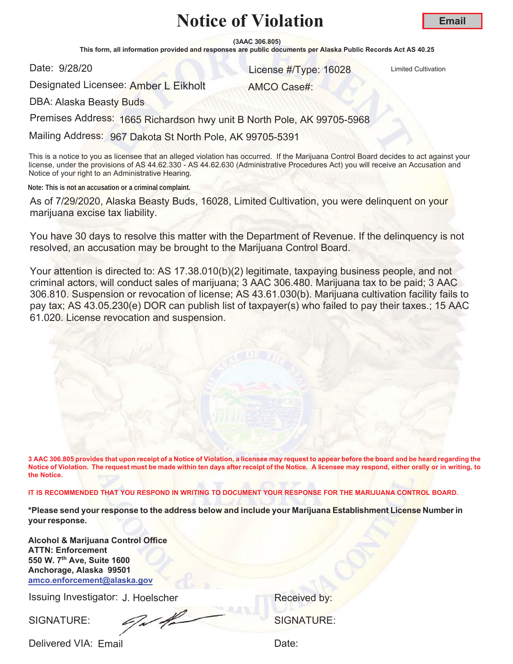**(3AAC 306.805)**

This form, all information provided and responses are public documents per Alaska Public Records Act AS 40.25

Date: 9/28/20

er and the United Cultivation Control of the United Cultivation Control of the United Cultivation

**Email**

Designated Licensee: Amber L Eikholt

AMCO Case#:

DBA: Alaska Beasty Buds

Premises Address: 1665 Richardson hwy unit B North Pole, AK 99705-5968

Mailing Address: 967 Dakota St North Pole, AK 99705-5391

This is a notice to you as licensee that an alleged violation has occurred. If the Marijuana Control Board decides to act against your license, under the provisions of AS 44.62.330 - AS 44.62.630 (Administrative Procedures Act) you will receive an Accusation and Notice of your right to an Administrative Hearing.

**Note: This is not an accusation or a criminal complaint.**

As of 7/29/2020, Alaska Beasty Buds, 16028, Limited Cultivation, you were delinquent on your marijuana excise tax liability.

You have 30 days to resolve this matter with the Department of Revenue. If the delinquency is not resolved, an accusation may be brought to the Marijuana Control Board.

Your attention is directed to: AS 17.38.010(b)(2) legitimate, taxpaying business people, and not criminal actors, will conduct sales of marijuana; 3 AAC 306.480. Marijuana tax to be paid; 3 AAC 306.810. Suspension or revocation of license; AS 43.61.030(b). Marijuana cultivation facility fails to pay tax; AS 43.05.230(e) DOR can publish list of taxpayer(s) who failed to pay their taxes.; 15 AAC 61.020. License revocation and suspension.

**3 AAC 306.805 provides that upon receipt of a Notice of Violation, a licensee may request to appear before the board and be heard regarding the Notice of Violation. The request must be made within ten days after receipt of the Notice. A licensee may respond, either orally or in writing, to the Notice.** 

**IT IS RECOMMENDED THAT YOU RESPOND IN WRITING TO DOCUMENT YOUR RESPONSE FOR THE MARIJUANA CONTROL BOARD.**

**\*Please send your response to the address below and include your Marijuana Establishment License Number in your response.**

**Alcohol & Marijuana Control Office ATTN: Enforcement 550 W. 7th Ave, Suite 1600 Anchorage, Alaska 99501 amco.enforcement@alaska.gov**

Issuing Investigator: J. Hoelscher **Election Control Control Control Control Control Control Control Control Control Control Control Control Control Control Control Control Control Control Control Control Control Control C** 

SIGNATURE: SIGNATURE: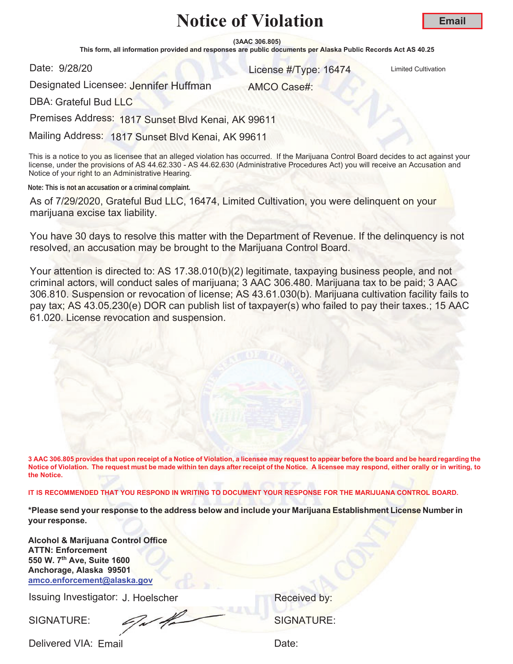**(3AAC 306.805)**

This form, all information provided and responses are public documents per Alaska Public Records Act AS 40.25

Date: 9/28/20

and 28/20 **16474** License #/Type: 16474 Limited Cultivation

Designated Licensee: <mark>Jen</mark>nifer Huffman

AMCO Case#:

DBA: Grateful Bud LLC

Premises Address: 1817 Sunset Blvd Kenai, AK 99611

Mailing Address: 1817 Sunset Blvd Kenai, AK 99611

This is a notice to you as licensee that an alleged violation has occurred. If the Marijuana Control Board decides to act against your license, under the provisions of AS 44.62.330 - AS 44.62.630 (Administrative Procedures Act) you will receive an Accusation and Notice of your right to an Administrative Hearing.

**Note: This is not an accusation or a criminal complaint.**

As of 7/29/2020, Grateful Bud LLC, 16474, Limited Cultivation, you were delinquent on your marijuana excise tax liability.

You have 30 days to resolve this matter with the Department of Revenue. If the delinquency is not resolved, an accusation may be brought to the Marijuana Control Board.

Your attention is directed to: AS 17.38.010(b)(2) legitimate, taxpaying business people, and not criminal actors, will conduct sales of marijuana; 3 AAC 306.480. Marijuana tax to be paid; 3 AAC 306.810. Suspension or revocation of license; AS 43.61.030(b). Marijuana cultivation facility fails to pay tax; AS 43.05.230(e) DOR can publish list of taxpayer(s) who failed to pay their taxes.; 15 AAC 61.020. License revocation and suspension.

**3 AAC 306.805 provides that upon receipt of a Notice of Violation, a licensee may request to appear before the board and be heard regarding the Notice of Violation. The request must be made within ten days after receipt of the Notice. A licensee may respond, either orally or in writing, to the Notice.** 

**IT IS RECOMMENDED THAT YOU RESPOND IN WRITING TO DOCUMENT YOUR RESPONSE FOR THE MARIJUANA CONTROL BOARD.**

**\*Please send your response to the address below and include your Marijuana Establishment License Number in your response.**

**Alcohol & Marijuana Control Office ATTN: Enforcement 550 W. 7th Ave, Suite 1600 Anchorage, Alaska 99501 amco.enforcement@alaska.gov**

Issuing Investigator: J. Hoelscher **Election Control Control Control Control Control Control Control Control Control Control Control Control Control Control Control Control Control Control Control Control Control Control C** 

SIGNATURE: SIGNATURE: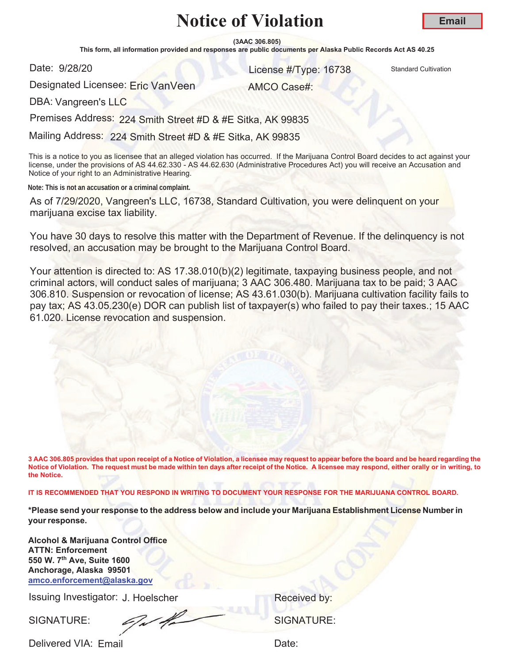**(3AAC 306.805)**

This form, all information provided and responses are public documents per Alaska Public Records Act AS 40.25

Date: 9/28/20

er and the United Standard Cultivation Control of the United Standard Cultivation Cultivation

Designated Licensee: Eric VanVeen

AMCO Case#:

DBA: Vangreen's LLC

Premises Address: 224 Smith Street #D & #E Sitka, AK 99835

Mailing Address: 224 Smith Street #D & #E Sitka, AK 99835

This is a notice to you as licensee that an alleged violation has occurred. If the Marijuana Control Board decides to act against your license, under the provisions of AS 44.62.330 - AS 44.62.630 (Administrative Procedures Act) you will receive an Accusation and Notice of your right to an Administrative Hearing.

**Note: This is not an accusation or a criminal complaint.**

As of 7/29/2020, Vangreen's LLC, 16738, Standard Cultivation, you were delinquent on your marijuana excise tax liability.

You have 30 days to resolve this matter with the Department of Revenue. If the delinquency is not resolved, an accusation may be brought to the Marijuana Control Board.

Your attention is directed to: AS 17.38.010(b)(2) legitimate, taxpaying business people, and not criminal actors, will conduct sales of marijuana; 3 AAC 306.480. Marijuana tax to be paid; 3 AAC 306.810. Suspension or revocation of license; AS 43.61.030(b). Marijuana cultivation facility fails to pay tax; AS 43.05.230(e) DOR can publish list of taxpayer(s) who failed to pay their taxes.; 15 AAC 61.020. License revocation and suspension.

**3 AAC 306.805 provides that upon receipt of a Notice of Violation, a licensee may request to appear before the board and be heard regarding the Notice of Violation. The request must be made within ten days after receipt of the Notice. A licensee may respond, either orally or in writing, to the Notice.** 

**IT IS RECOMMENDED THAT YOU RESPOND IN WRITING TO DOCUMENT YOUR RESPONSE FOR THE MARIJUANA CONTROL BOARD.**

**\*Please send your response to the address below and include your Marijuana Establishment License Number in your response.**

**Alcohol & Marijuana Control Office ATTN: Enforcement 550 W. 7th Ave, Suite 1600 Anchorage, Alaska 99501 amco.enforcement@alaska.gov**

Issuing Investigator: J. Hoelscher **Election Control Control Control Control Control Control Control Control Control Control Control Control Control Control Control Control Control Control Control Control Control Control C** 

SIGNATURE: SIGNATURE: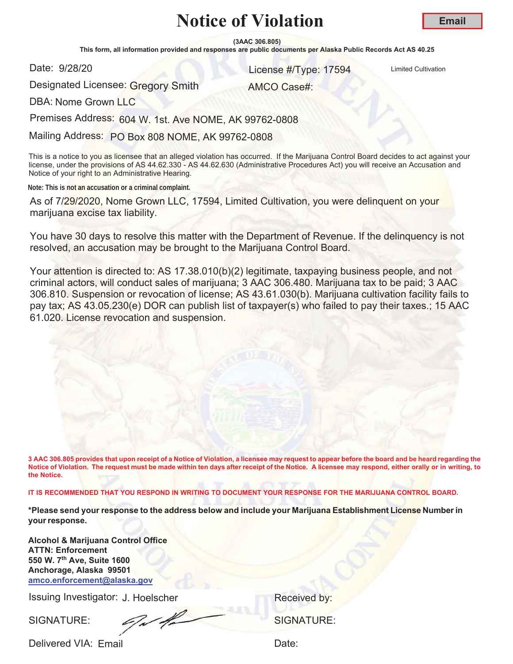**(3AAC 306.805)**

This form, all information provided and responses are public documents per Alaska Public Records Act AS 40.25

Date: 9/28/20

er and the United Cultivation Control of the United Cultivation Control of the United Cultivation

AMCO Case#:

Designated Licensee: Gregory Smith

DBA: Nome Grown LLC

Premises Address: 604 W. 1st. Ave NOME, AK 99762-0808

Mailing Address: PO Box 808 NOME, AK 99762-0808

This is a notice to you as licensee that an alleged violation has occurred. If the Marijuana Control Board decides to act against your license, under the provisions of AS 44.62.330 - AS 44.62.630 (Administrative Procedures Act) you will receive an Accusation and Notice of your right to an Administrative Hearing.

**Note: This is not an accusation or a criminal complaint.**

As of 7/29/2020, Nome Grown LLC, 17594, Limited Cultivation, you were delinquent on your marijuana excise tax liability.

You have 30 days to resolve this matter with the Department of Revenue. If the delinquency is not resolved, an accusation may be brought to the Marijuana Control Board.

Your attention is directed to: AS 17.38.010(b)(2) legitimate, taxpaying business people, and not criminal actors, will conduct sales of marijuana; 3 AAC 306.480. Marijuana tax to be paid; 3 AAC 306.810. Suspension or revocation of license; AS 43.61.030(b). Marijuana cultivation facility fails to pay tax; AS 43.05.230(e) DOR can publish list of taxpayer(s) who failed to pay their taxes.; 15 AAC 61.020. License revocation and suspension.

**3 AAC 306.805 provides that upon receipt of a Notice of Violation, a licensee may request to appear before the board and be heard regarding the Notice of Violation. The request must be made within ten days after receipt of the Notice. A licensee may respond, either orally or in writing, to the Notice.** 

**IT IS RECOMMENDED THAT YOU RESPOND IN WRITING TO DOCUMENT YOUR RESPONSE FOR THE MARIJUANA CONTROL BOARD.**

**\*Please send your response to the address below and include your Marijuana Establishment License Number in your response.**

**Alcohol & Marijuana Control Office ATTN: Enforcement 550 W. 7th Ave, Suite 1600 Anchorage, Alaska 99501 amco.enforcement@alaska.gov**

Issuing Investigator: J. Hoelscher **Election Control Control Control Control Control Control Control Control Control Control Control Control Control Control Control Control Control Control Control Control Control Control C** 

SIGNATURE: SIGNATURE: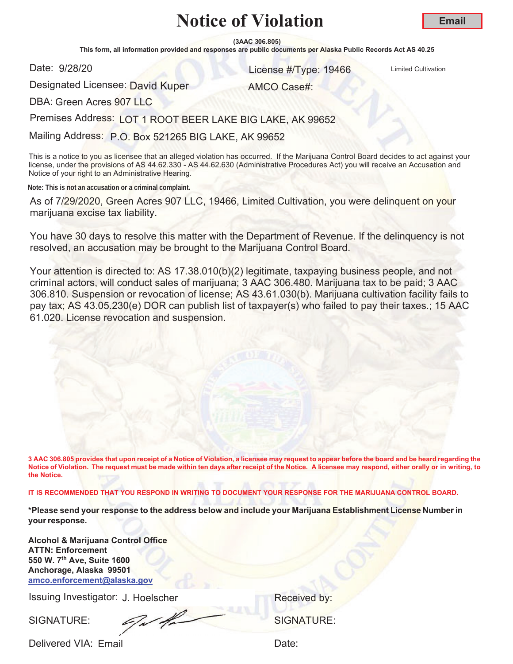**(3AAC 306.805)**

This form, all information provided and responses are public documents per Alaska Public Records Act AS 40.25

Date: 9/28/20

er and the United Cultivation Control of the United Cultivation Control of the United Cultivation

AMCO Case#:

**Email**

Designated Licensee: <mark>David Kuper</mark>

DBA: Green Acres 907 LLC

Premises Address: LOT 1 ROOT BEER LAKE BIG LAKE, AK 99652

Mailing Address: P.O. Box 521265 BIG LAKE, AK 99652

This is a notice to you as licensee that an alleged violation has occurred. If the Marijuana Control Board decides to act against your license, under the provisions of AS 44.62.330 - AS 44.62.630 (Administrative Procedures Act) you will receive an Accusation and Notice of your right to an Administrative Hearing.

**Note: This is not an accusation or a criminal complaint.**

As of 7/29/2020, Green Acres 907 LLC, 19466, Limited Cultivation, you were delinquent on your marijuana excise tax liability.

You have 30 days to resolve this matter with the Department of Revenue. If the delinquency is not resolved, an accusation may be brought to the Marijuana Control Board.

Your attention is directed to: AS 17.38.010(b)(2) legitimate, taxpaying business people, and not criminal actors, will conduct sales of marijuana; 3 AAC 306.480. Marijuana tax to be paid; 3 AAC 306.810. Suspension or revocation of license; AS 43.61.030(b). Marijuana cultivation facility fails to pay tax; AS 43.05.230(e) DOR can publish list of taxpayer(s) who failed to pay their taxes.; 15 AAC 61.020. License revocation and suspension.

**3 AAC 306.805 provides that upon receipt of a Notice of Violation, a licensee may request to appear before the board and be heard regarding the Notice of Violation. The request must be made within ten days after receipt of the Notice. A licensee may respond, either orally or in writing, to the Notice.** 

**IT IS RECOMMENDED THAT YOU RESPOND IN WRITING TO DOCUMENT YOUR RESPONSE FOR THE MARIJUANA CONTROL BOARD.**

**\*Please send your response to the address below and include your Marijuana Establishment License Number in your response.**

**Alcohol & Marijuana Control Office ATTN: Enforcement 550 W. 7th Ave, Suite 1600 Anchorage, Alaska 99501 amco.enforcement@alaska.gov**

Issuing Investigator: J. Hoelscher **Election Control Control Control Control Control Control Control Control Control Control Control Control Control Control Control Control Control Control Control Control Control Control C** 

SIGNATURE: SIGNATURE: